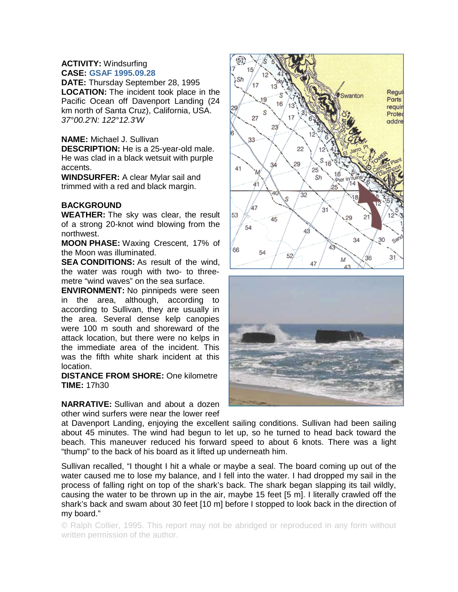## **ACTIVITY:** Windsurfing **CASE: GSAF 1995.09.28**

**DATE:** Thursday September 28, 1995 **LOCATION:** The incident took place in the Pacific Ocean off Davenport Landing (24 km north of Santa Cruz), California, USA. *37°00.2'N: 122°12.3'W* 

## **NAME:** Michael J. Sullivan

**DESCRIPTION:** He is a 25-year-old male. He was clad in a black wetsuit with purple accents.

**WINDSURFER:** A clear Mylar sail and trimmed with a red and black margin.

## **BACKGROUND**

**WEATHER:** The sky was clear, the result of a strong 20-knot wind blowing from the northwest.

**MOON PHASE:** Waxing Crescent, 17% of the Moon was illuminated.

**SEA CONDITIONS:** As result of the wind. the water was rough with two- to threemetre "wind waves" on the sea surface.

**ENVIRONMENT:** No pinnipeds were seen in the area, although, according to according to Sullivan, they are usually in the area. Several dense kelp canopies were 100 m south and shoreward of the attack location, but there were no kelps in the immediate area of the incident. This was the fifth white shark incident at this location.

**DISTANCE FROM SHORE:** One kilometre **TIME:** 17h30

**NARRATIVE:** Sullivan and about a dozen other wind surfers were near the lower reef



at Davenport Landing, enjoying the excellent sailing conditions. Sullivan had been sailing about 45 minutes. The wind had begun to let up, so he turned to head back toward the beach. This maneuver reduced his forward speed to about 6 knots. There was a light "thump" to the back of his board as it lifted up underneath him.

Sullivan recalled, "I thought I hit a whale or maybe a seal. The board coming up out of the water caused me to lose my balance, and I fell into the water. I had dropped my sail in the process of falling right on top of the shark's back. The shark began slapping its tail wildly, causing the water to be thrown up in the air, maybe 15 feet [5 m]. I literally crawled off the shark's back and swam about 30 feet [10 m] before I stopped to look back in the direction of my board."

© Ralph Collier, 1995. This report may not be abridged or reproduced in any form without written permission of the author.